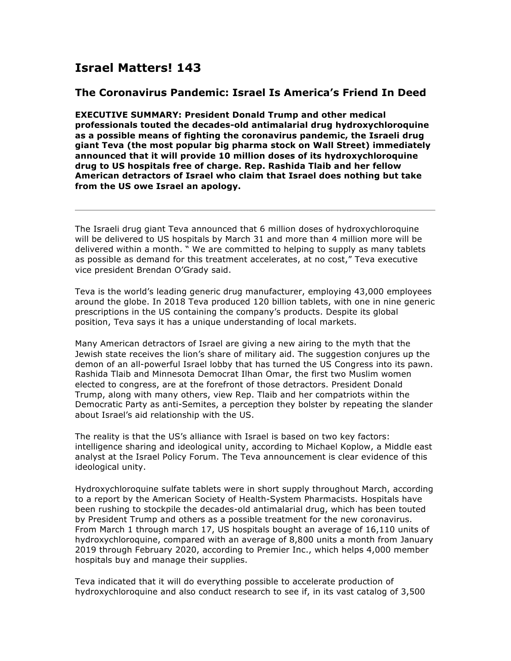## **Israel Matters! 143**

## **The Coronavirus Pandemic: Israel Is America's Friend In Deed**

**EXECUTIVE SUMMARY: President Donald Trump and other medical professionals touted the decades-old antimalarial drug hydroxychloroquine as a possible means of fighting the coronavirus pandemic, the Israeli drug giant Teva (the most popular big pharma stock on Wall Street) immediately announced that it will provide 10 million doses of its hydroxychloroquine drug to US hospitals free of charge. Rep. Rashida Tlaib and her fellow American detractors of Israel who claim that Israel does nothing but take from the US owe Israel an apology.**

The Israeli drug giant Teva announced that 6 million doses of hydroxychloroquine will be delivered to US hospitals by March 31 and more than 4 million more will be delivered within a month. " We are committed to helping to supply as many tablets as possible as demand for this treatment accelerates, at no cost," Teva executive vice president Brendan O'Grady said.

Teva is the world's leading generic drug manufacturer, employing 43,000 employees around the globe. In 2018 Teva produced 120 billion tablets, with one in nine generic prescriptions in the US containing the company's products. Despite its global position, Teva says it has a unique understanding of local markets.

Many American detractors of Israel are giving a new airing to the myth that the Jewish state receives the lion's share of military aid. The suggestion conjures up the demon of an all-powerful Israel lobby that has turned the US Congress into its pawn. Rashida Tlaib and Minnesota Democrat Ilhan Omar, the first two Muslim women elected to congress, are at the forefront of those detractors. President Donald Trump, along with many others, view Rep. Tlaib and her compatriots within the Democratic Party as anti-Semites, a perception they bolster by repeating the slander about Israel's aid relationship with the US.

The reality is that the US's alliance with Israel is based on two key factors: intelligence sharing and ideological unity, according to Michael Koplow, a Middle east analyst at the Israel Policy Forum. The Teva announcement is clear evidence of this ideological unity.

Hydroxychloroquine sulfate tablets were in short supply throughout March, according to a report by the American Society of Health-System Pharmacists. Hospitals have been rushing to stockpile the decades-old antimalarial drug, which has been touted by President Trump and others as a possible treatment for the new coronavirus. From March 1 through march 17, US hospitals bought an average of 16,110 units of hydroxychloroquine, compared with an average of 8,800 units a month from January 2019 through February 2020, according to Premier Inc., which helps 4,000 member hospitals buy and manage their supplies.

Teva indicated that it will do everything possible to accelerate production of hydroxychloroquine and also conduct research to see if, in its vast catalog of 3,500